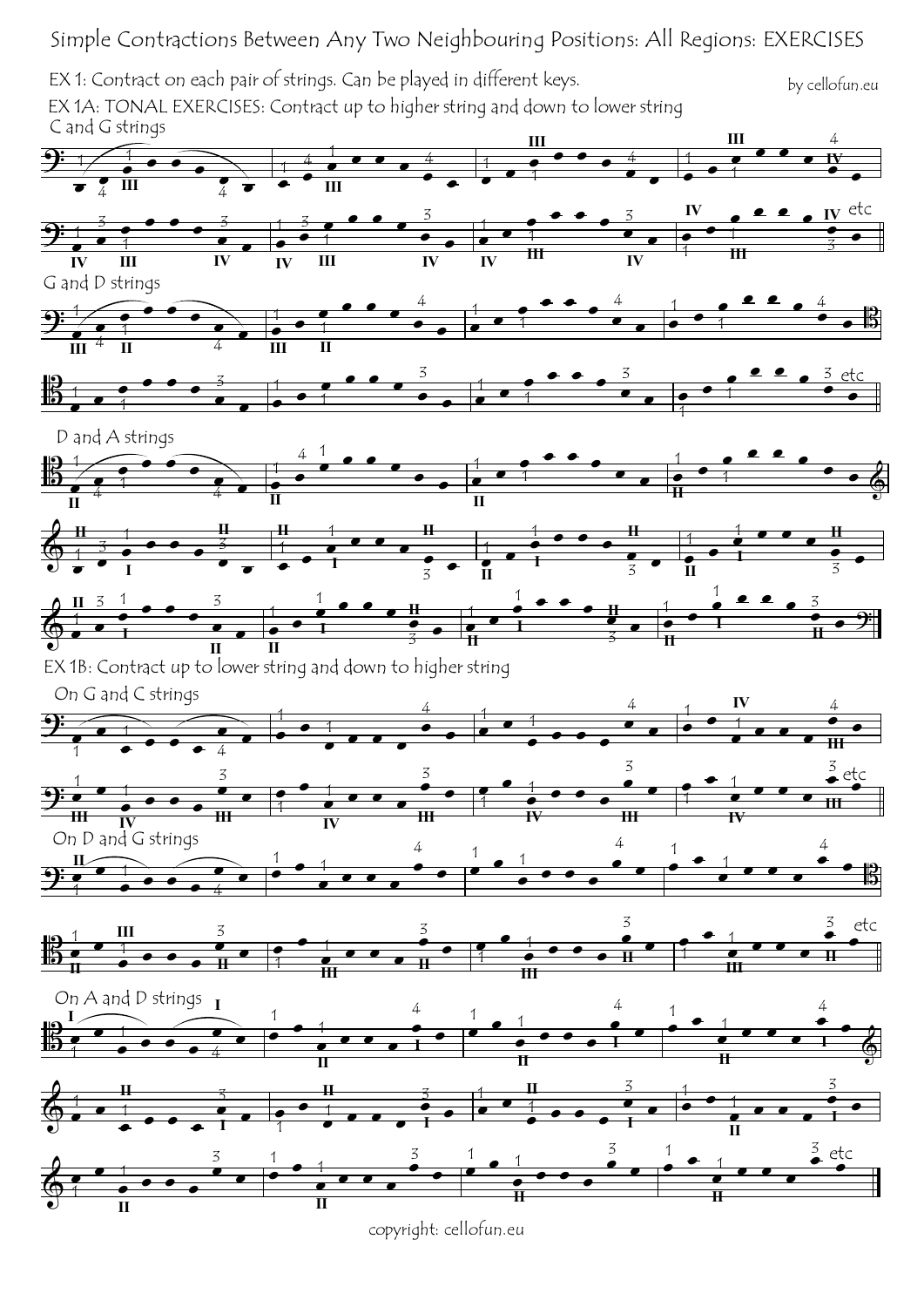Simple Contractions Between Any Two Neighbouring Positions: All Regions: EXERCISES

 $\frac{1}{2}$ EX 1: Contract on each pair of strings. Can be played in different keys. EX 1A: TONAL EXERCISES: Contract up to higher string and down to lower string C and G strings **III** 4 **III** by cellofun.eu

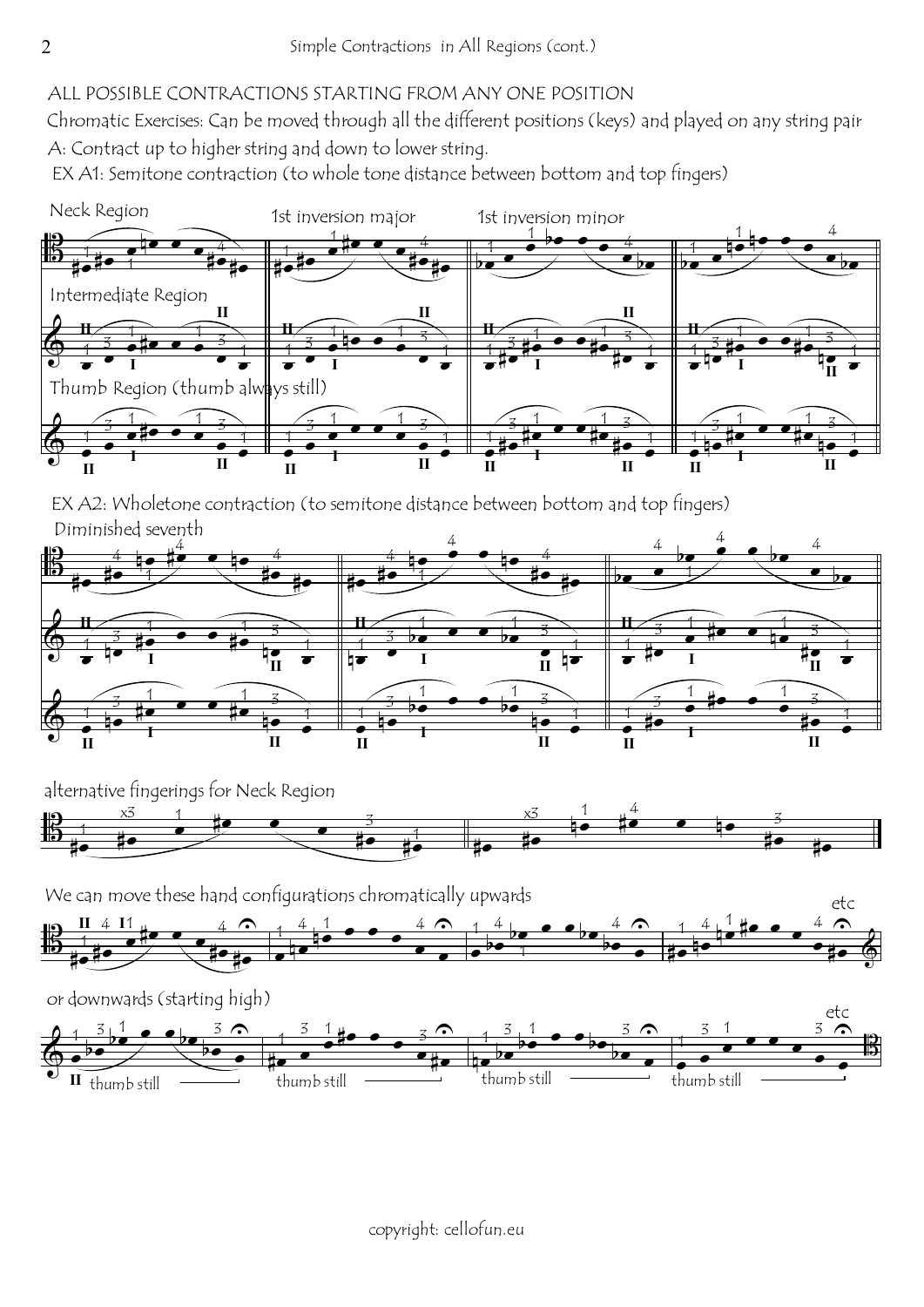## ALL POSSIBLE CONTRACTIONS STARTING FROM ANY ONE POSITION

Chromatic Exercises: Can be moved through all the different positions (keys) and played on any string pair A: Contract up to higher string and down to lower string.

EX A1: Semitone contraction (to whole tone distance between bottom and top fingers)



Diminished seventh EX A2: Wholetone contraction (to semitone distance between bottom and top fingers)



alternative fingerings for Neck Region



We can move these hand configurations chromatically upwards